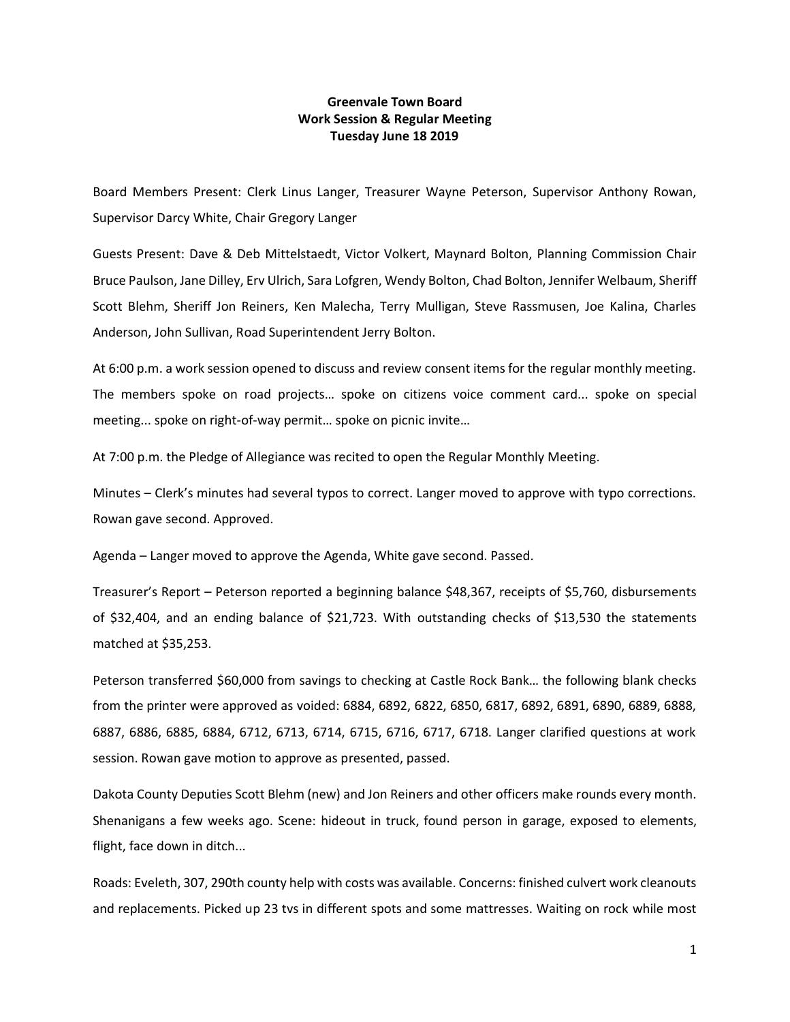## **Greenvale Town Board Work Session & Regular Meeting Tuesday June 18 2019**

Board Members Present: Clerk Linus Langer, Treasurer Wayne Peterson, Supervisor Anthony Rowan, Supervisor Darcy White, Chair Gregory Langer

Guests Present: Dave & Deb Mittelstaedt, Victor Volkert, Maynard Bolton, Planning Commission Chair Bruce Paulson, Jane Dilley, Erv Ulrich, Sara Lofgren, Wendy Bolton, Chad Bolton, Jennifer Welbaum, Sheriff Scott Blehm, Sheriff Jon Reiners, Ken Malecha, Terry Mulligan, Steve Rassmusen, Joe Kalina, Charles Anderson, John Sullivan, Road Superintendent Jerry Bolton.

At 6:00 p.m. a work session opened to discuss and review consent items for the regular monthly meeting. The members spoke on road projects… spoke on citizens voice comment card... spoke on special meeting... spoke on right-of-way permit… spoke on picnic invite…

At 7:00 p.m. the Pledge of Allegiance was recited to open the Regular Monthly Meeting.

Minutes – Clerk's minutes had several typos to correct. Langer moved to approve with typo corrections. Rowan gave second. Approved.

Agenda – Langer moved to approve the Agenda, White gave second. Passed.

Treasurer's Report – Peterson reported a beginning balance \$48,367, receipts of \$5,760, disbursements of \$32,404, and an ending balance of \$21,723. With outstanding checks of \$13,530 the statements matched at \$35,253.

Peterson transferred \$60,000 from savings to checking at Castle Rock Bank… the following blank checks from the printer were approved as voided: 6884, 6892, 6822, 6850, 6817, 6892, 6891, 6890, 6889, 6888, 6887, 6886, 6885, 6884, 6712, 6713, 6714, 6715, 6716, 6717, 6718. Langer clarified questions at work session. Rowan gave motion to approve as presented, passed.

Dakota County Deputies Scott Blehm (new) and Jon Reiners and other officers make rounds every month. Shenanigans a few weeks ago. Scene: hideout in truck, found person in garage, exposed to elements, flight, face down in ditch...

Roads: Eveleth, 307, 290th county help with costs was available. Concerns: finished culvert work cleanouts and replacements. Picked up 23 tvs in different spots and some mattresses. Waiting on rock while most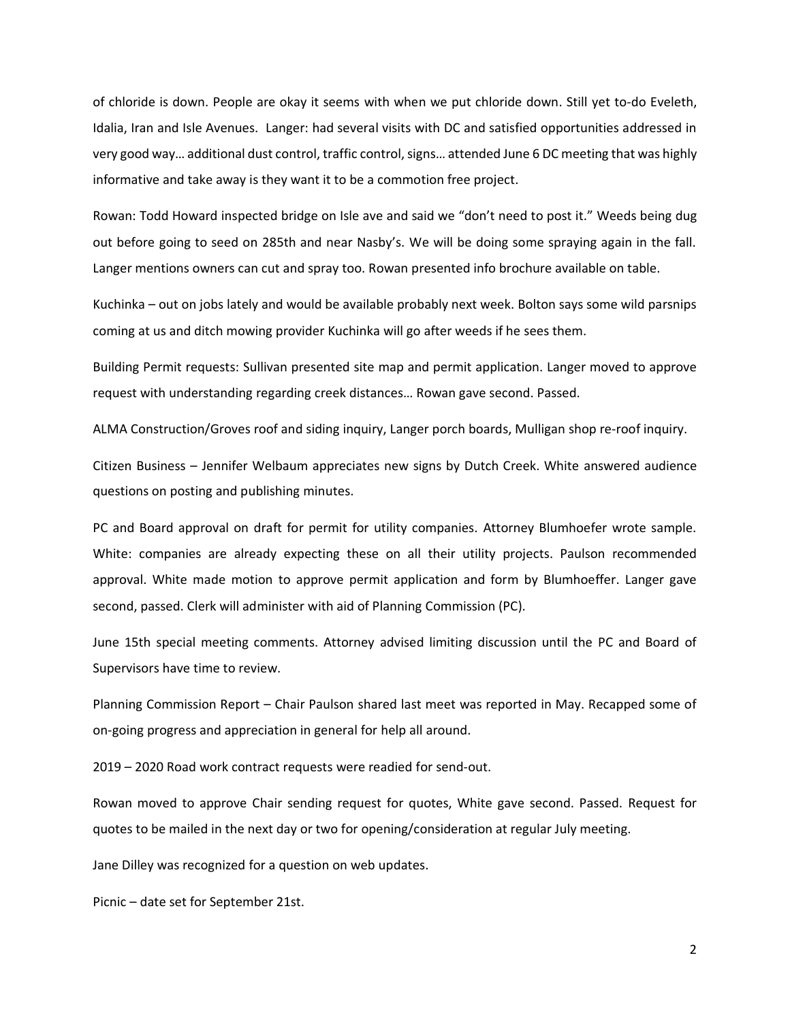of chloride is down. People are okay it seems with when we put chloride down. Still yet to-do Eveleth, Idalia, Iran and Isle Avenues. Langer: had several visits with DC and satisfied opportunities addressed in very good way… additional dust control, traffic control, signs… attended June 6 DC meeting that was highly informative and take away is they want it to be a commotion free project.

Rowan: Todd Howard inspected bridge on Isle ave and said we "don't need to post it." Weeds being dug out before going to seed on 285th and near Nasby's. We will be doing some spraying again in the fall. Langer mentions owners can cut and spray too. Rowan presented info brochure available on table.

Kuchinka – out on jobs lately and would be available probably next week. Bolton says some wild parsnips coming at us and ditch mowing provider Kuchinka will go after weeds if he sees them.

Building Permit requests: Sullivan presented site map and permit application. Langer moved to approve request with understanding regarding creek distances… Rowan gave second. Passed.

ALMA Construction/Groves roof and siding inquiry, Langer porch boards, Mulligan shop re-roof inquiry.

Citizen Business – Jennifer Welbaum appreciates new signs by Dutch Creek. White answered audience questions on posting and publishing minutes.

PC and Board approval on draft for permit for utility companies. Attorney Blumhoefer wrote sample. White: companies are already expecting these on all their utility projects. Paulson recommended approval. White made motion to approve permit application and form by Blumhoeffer. Langer gave second, passed. Clerk will administer with aid of Planning Commission (PC).

June 15th special meeting comments. Attorney advised limiting discussion until the PC and Board of Supervisors have time to review.

Planning Commission Report – Chair Paulson shared last meet was reported in May. Recapped some of on-going progress and appreciation in general for help all around.

2019 – 2020 Road work contract requests were readied for send-out.

Rowan moved to approve Chair sending request for quotes, White gave second. Passed. Request for quotes to be mailed in the next day or two for opening/consideration at regular July meeting.

Jane Dilley was recognized for a question on web updates.

Picnic – date set for September 21st.